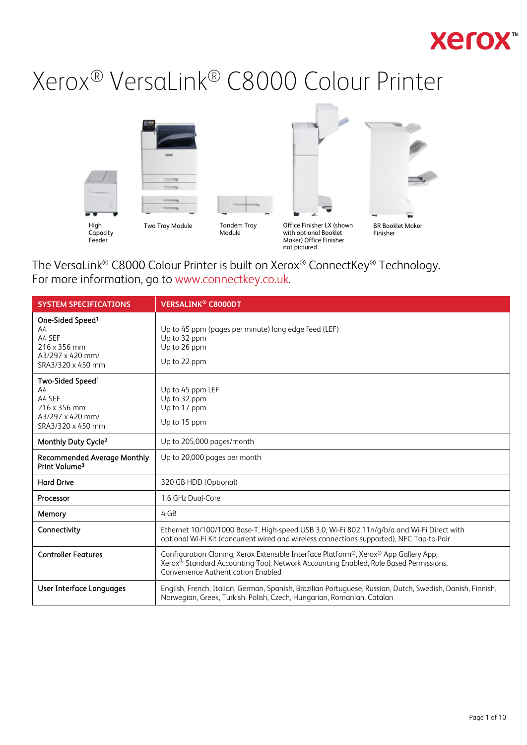## **Xerox**

# Xerox® VersaLink® C8000 Colour Printer



The VersaLink® C8000 Colour Printer is built on Xerox® ConnectKey® Technology. For more information, go to [www.connectkey.co.uk.](http://www.connectkey.co.uk/)

| <b>SYSTEM SPECIFICATIONS</b>                                                                          | <b>VERSALINK<sup>®</sup> C8000DT</b>                                                                                                                                                                                           |
|-------------------------------------------------------------------------------------------------------|--------------------------------------------------------------------------------------------------------------------------------------------------------------------------------------------------------------------------------|
| One-Sided Speed <sup>1</sup><br>A4<br>A4 SEF<br>216 x 356 mm<br>A3/297 x 420 mm/<br>SRA3/320 x 450 mm | Up to 45 ppm (pages per minute) long edge feed (LEF)<br>Up to 32 ppm<br>Up to 26 ppm<br>Up to 22 ppm                                                                                                                           |
| Two-Sided Speed <sup>1</sup><br>A4<br>A4 SEF<br>216 x 356 mm<br>A3/297 x 420 mm/<br>SRA3/320 x 450 mm | Up to 45 ppm LEF<br>Up to 32 ppm<br>Up to 17 ppm<br>Up to 15 ppm                                                                                                                                                               |
| Monthly Duty Cycle <sup>2</sup>                                                                       | Up to 205,000 pages/month                                                                                                                                                                                                      |
| <b>Recommended Average Monthly</b><br>Print Volume <sup>3</sup>                                       | Up to 20,000 pages per month                                                                                                                                                                                                   |
| <b>Hard Drive</b>                                                                                     | 320 GB HDD (Optional)                                                                                                                                                                                                          |
| Processor                                                                                             | 1.6 GHz Dual-Core                                                                                                                                                                                                              |
| Memory                                                                                                | 4 GB                                                                                                                                                                                                                           |
| Connectivity                                                                                          | Ethernet 10/100/1000 Base-T, High-speed USB 3.0, Wi-Fi 802.11n/g/b/a and Wi-Fi Direct with<br>optional Wi-Fi Kit (concurrent wired and wireless connections supported), NFC Tap-to-Pair                                        |
| <b>Controller Features</b>                                                                            | Configuration Cloning, Xerox Extensible Interface Platform®, Xerox® App Gallery App,<br>Xerox <sup>®</sup> Standard Accounting Tool, Network Accounting Enabled, Role Based Permissions,<br>Convenience Authentication Enabled |
| User Interface Languages                                                                              | English, French, Italian, German, Spanish, Brazilian Portuguese, Russian, Dutch, Swedish, Danish, Finnish,<br>Norwegian, Greek, Turkish, Polish, Czech, Hungarian, Romanian, Catalan                                           |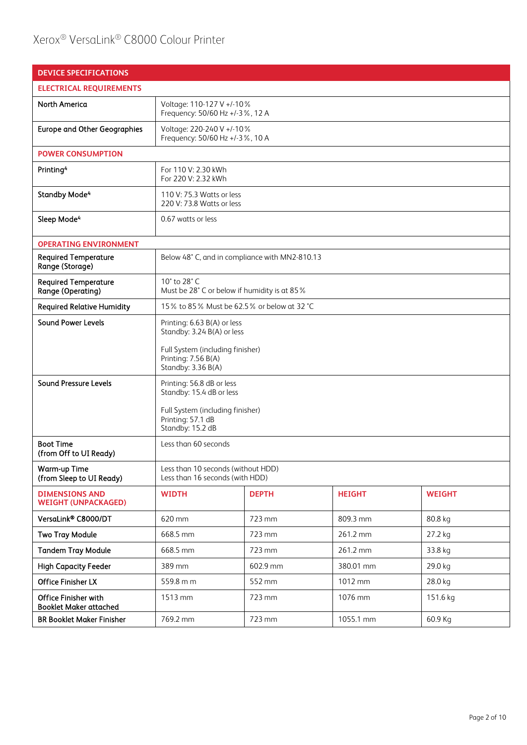### Xerox® VersaLink® C8000 Colour Printer

| <b>DEVICE SPECIFICATIONS</b>                          |                                                                                                                                            |              |               |               |  |
|-------------------------------------------------------|--------------------------------------------------------------------------------------------------------------------------------------------|--------------|---------------|---------------|--|
| <b>ELECTRICAL REQUIREMENTS</b>                        |                                                                                                                                            |              |               |               |  |
| North America                                         | Voltage: 110-127 V +/-10%<br>Frequency: 50/60 Hz +/-3%, 12 A                                                                               |              |               |               |  |
| <b>Europe and Other Geographies</b>                   | Voltage: 220-240 V +/-10%<br>Frequency: 50/60 Hz +/-3%, 10 A                                                                               |              |               |               |  |
| <b>POWER CONSUMPTION</b>                              |                                                                                                                                            |              |               |               |  |
| Printing <sup>4</sup>                                 | For 110 V: 2.30 kWh<br>For 220 V: 2.32 kWh                                                                                                 |              |               |               |  |
| Standby Mode <sup>4</sup>                             | 110 V: 75.3 Watts or less<br>220 V: 73.8 Watts or less                                                                                     |              |               |               |  |
| Sleep Mode <sup>4</sup>                               | 0.67 watts or less                                                                                                                         |              |               |               |  |
| <b>OPERATING ENVIRONMENT</b>                          |                                                                                                                                            |              |               |               |  |
| <b>Required Temperature</b><br>Range (Storage)        | Below 48° C, and in compliance with MN2-810.13                                                                                             |              |               |               |  |
| <b>Required Temperature</b><br>Range (Operating)      | 10° to 28° C<br>Must be 28° C or below if humidity is at 85%                                                                               |              |               |               |  |
| <b>Required Relative Humidity</b>                     | 15% to 85% Must be 62.5% or below at 32 °C                                                                                                 |              |               |               |  |
| <b>Sound Power Levels</b>                             | Printing: 6.63 B(A) or less<br>Standby: 3.24 B(A) or less<br>Full System (including finisher)<br>Printing: 7.56 B(A)<br>Standby: 3.36 B(A) |              |               |               |  |
| <b>Sound Pressure Levels</b>                          | Printing: 56.8 dB or less<br>Standby: 15.4 dB or less<br>Full System (including finisher)<br>Printing: 57.1 dB<br>Standby: 15.2 dB         |              |               |               |  |
| <b>Boot Time</b><br>(from Off to UI Ready)            | Less than 60 seconds                                                                                                                       |              |               |               |  |
| Warm-up Time<br>(from Sleep to UI Ready)              | Less than 10 seconds (without HDD)<br>Less than 16 seconds (with HDD)                                                                      |              |               |               |  |
| <b>DIMENSIONS AND</b><br><b>WEIGHT (UNPACKAGED)</b>   | <b>WIDTH</b>                                                                                                                               | <b>DEPTH</b> | <b>HEIGHT</b> | <b>WEIGHT</b> |  |
| VersaLink® C8000/DT                                   | 620 mm                                                                                                                                     | 723 mm       | 809.3 mm      | 80.8 kg       |  |
| <b>Two Tray Module</b>                                | 668.5 mm                                                                                                                                   | 723 mm       | 261.2 mm      | 27.2 kg       |  |
| <b>Tandem Tray Module</b>                             | 668.5 mm                                                                                                                                   | 723 mm       | 261.2 mm      | 33.8 kg       |  |
| <b>High Capacity Feeder</b>                           | 389 mm                                                                                                                                     | 602.9 mm     | 380.01 mm     | 29.0 kg       |  |
| Office Finisher LX                                    | 559.8 m m                                                                                                                                  | 552 mm       | 1012 mm       | 28.0 kg       |  |
| Office Finisher with<br><b>Booklet Maker attached</b> | 1076 mm<br>1513 mm<br>723 mm<br>151.6 kg                                                                                                   |              |               |               |  |
| <b>BR Booklet Maker Finisher</b>                      | 769.2 mm<br>723 mm<br>1055.1 mm<br>60.9 Kg                                                                                                 |              |               |               |  |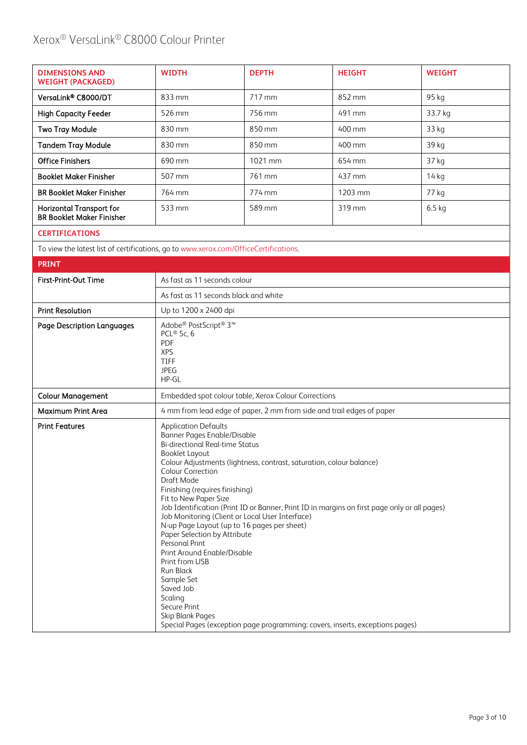### Xerox® VersaLink® C8000 Colour Printer

| <b>DIMENSIONS AND</b><br><b>WEIGHT (PACKAGED)</b>            | <b>WIDTH</b>        | <b>DEPTH</b> | <b>HEIGHT</b> | <b>WEIGHT</b> |
|--------------------------------------------------------------|---------------------|--------------|---------------|---------------|
| VersaLink® C8000/DT                                          | $833 \,\mathrm{mm}$ | 717 mm       | 852 mm        | 95 kg         |
| <b>High Capacity Feeder</b>                                  | 526 mm              | 756 mm       | 491 mm        | 33.7 kg       |
| <b>Two Tray Module</b>                                       | 830 mm              | 850 mm       | 400 mm        | 33 kg         |
| <b>Tandem Tray Module</b>                                    | 830 mm              | 850 mm       | 400 mm        | 39 kg         |
| <b>Office Finishers</b>                                      | 690 mm              | 1021 mm      | 654 mm        | 37 kg         |
| <b>Booklet Maker Finisher</b>                                | 507 mm              | 761 mm       | 437 mm        | 14 kg         |
| <b>BR Booklet Maker Finisher</b>                             | 764 mm              | 774 mm       | 1203 mm       | 77 kg         |
| Horizontal Transport for<br><b>BR Booklet Maker Finisher</b> | 533 mm              | 589 mm       | 319 mm        | $6.5$ kg      |

#### **CERTIFICATIONS**

To view the latest list of certifications, go t[o www.xerox.com/OfficeCertifications.](http://www.xerox.com/OfficeCertifications)

| <b>PRINT</b>                      |                                                                                                                                                                                                                                                                                                                                                                                                                                                                                                                                                                                                                                                                                                                                                                                                |
|-----------------------------------|------------------------------------------------------------------------------------------------------------------------------------------------------------------------------------------------------------------------------------------------------------------------------------------------------------------------------------------------------------------------------------------------------------------------------------------------------------------------------------------------------------------------------------------------------------------------------------------------------------------------------------------------------------------------------------------------------------------------------------------------------------------------------------------------|
| First-Print-Out Time              | As fast as 11 seconds colour                                                                                                                                                                                                                                                                                                                                                                                                                                                                                                                                                                                                                                                                                                                                                                   |
|                                   | As fast as 11 seconds black and white                                                                                                                                                                                                                                                                                                                                                                                                                                                                                                                                                                                                                                                                                                                                                          |
| <b>Print Resolution</b>           | Up to 1200 x 2400 dpi                                                                                                                                                                                                                                                                                                                                                                                                                                                                                                                                                                                                                                                                                                                                                                          |
| <b>Page Description Languages</b> | Adobe® PostScript® 3™<br>PCL® 5c, $6$<br>PDF<br><b>XPS</b><br><b>TIFF</b><br><b>JPEG</b><br>HP-GL                                                                                                                                                                                                                                                                                                                                                                                                                                                                                                                                                                                                                                                                                              |
| <b>Colour Management</b>          | Embedded spot colour table, Xerox Colour Corrections                                                                                                                                                                                                                                                                                                                                                                                                                                                                                                                                                                                                                                                                                                                                           |
| Maximum Print Area                | 4 mm from lead edge of paper, 2 mm from side and trail edges of paper                                                                                                                                                                                                                                                                                                                                                                                                                                                                                                                                                                                                                                                                                                                          |
| <b>Print Features</b>             | <b>Application Defaults</b><br>Banner Pages Enable/Disable<br><b>Bi-directional Real-time Status</b><br><b>Booklet Layout</b><br>Colour Adjustments (lightness, contrast, saturation, colour balance)<br>Colour Correction<br>Draft Mode<br>Finishing (requires finishing)<br>Fit to New Paper Size<br>Job Identification (Print ID or Banner, Print ID in margins on first page only or all pages)<br>Job Monitoring (Client or Local User Interface)<br>N-up Page Layout (up to 16 pages per sheet)<br>Paper Selection by Attribute<br><b>Personal Print</b><br>Print Around Enable/Disable<br>Print from USB<br><b>Run Black</b><br>Sample Set<br>Saved Job<br>Scaling<br>Secure Print<br>Skip Blank Pages<br>Special Pages (exception page programming: covers, inserts, exceptions pages) |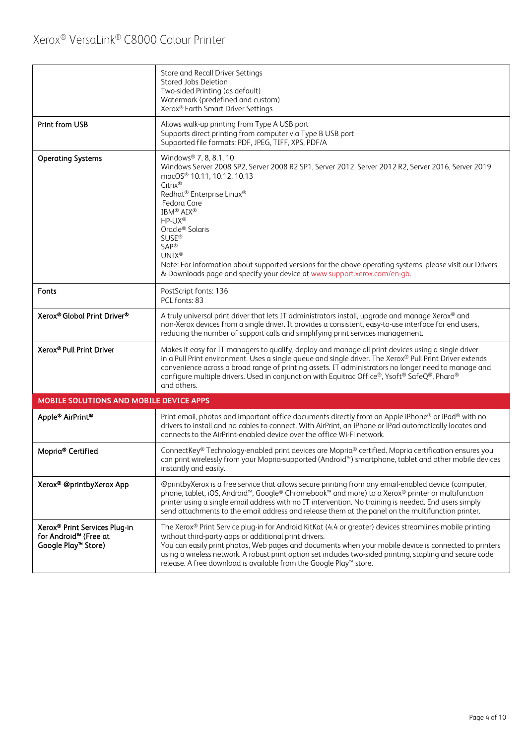|                                                                                                       | Store and Recall Driver Settings<br>Stored Jobs Deletion<br>Two-sided Printing (as default)<br>Watermark (predefined and custom)<br>Xerox® Earth Smart Driver Settings                                                                                                                                                                                                                                                                                                                                                                                  |
|-------------------------------------------------------------------------------------------------------|---------------------------------------------------------------------------------------------------------------------------------------------------------------------------------------------------------------------------------------------------------------------------------------------------------------------------------------------------------------------------------------------------------------------------------------------------------------------------------------------------------------------------------------------------------|
| Print from USB                                                                                        | Allows walk-up printing from Type A USB port<br>Supports direct printing from computer via Type B USB port<br>Supported file formats: PDF, JPEG, TIFF, XPS, PDF/A                                                                                                                                                                                                                                                                                                                                                                                       |
| <b>Operating Systems</b>                                                                              | Windows <sup>®</sup> 7, 8, 8.1, 10<br>Windows Server 2008 SP2, Server 2008 R2 SP1, Server 2012, Server 2012 R2, Server 2016, Server 2019<br>macOS <sup>®</sup> 10.11, 10.12, 10.13<br>Citrix®<br>Redhat® Enterprise Linux®<br>Fedora Core<br>IBM <sup>®</sup> AIX <sup>®</sup><br>HP-UX®<br>Oracle <sup>®</sup> Solaris<br><b>SUSE®</b><br>SAP®<br><b>UNIX®</b><br>Note: For information about supported versions for the above operating systems, please visit our Drivers<br>& Downloads page and specify your device at www.support.xerox.com/en-gb. |
| Fonts                                                                                                 | PostScript fonts: 136<br>PCL fonts: 83                                                                                                                                                                                                                                                                                                                                                                                                                                                                                                                  |
| Xerox® Global Print Driver®                                                                           | A truly universal print driver that lets IT administrators install, upgrade and manage Xerox® and<br>non-Xerox devices from a single driver. It provides a consistent, easy-to-use interface for end users,<br>reducing the number of support calls and simplifying print services management.                                                                                                                                                                                                                                                          |
| Xerox® Pull Print Driver                                                                              | Makes it easy for IT managers to qualify, deploy and manage all print devices using a single driver<br>in a Pull Print environment. Uses a single queue and single driver. The Xerox® Pull Print Driver extends<br>convenience across a broad range of printing assets. IT administrators no longer need to manage and<br>configure multiple drivers. Used in conjunction with Equitrac Office®, Ysoft® SafeQ®, Pharo®<br>and others.                                                                                                                   |
| MOBILE SOLUTIONS AND MOBILE DEVICE APPS                                                               |                                                                                                                                                                                                                                                                                                                                                                                                                                                                                                                                                         |
| Apple® AirPrint®                                                                                      | Print email, photos and important office documents directly from an Apple iPhone® or iPad® with no<br>drivers to install and no cables to connect. With AirPrint, an iPhone or iPad automatically locates and<br>connects to the AirPrint-enabled device over the office Wi-Fi network.                                                                                                                                                                                                                                                                 |
| Mopria <sup>®</sup> Certified                                                                         | ConnectKey® Technology-enabled print devices are Mopria® certified. Mopria certification ensures you<br>can print wirelessly from your Mopria-supported (Android <sup>m</sup> ) smartphone, tablet and other mobile devices<br>instantly and easily.                                                                                                                                                                                                                                                                                                    |
| Xerox® @printbyXerox App                                                                              | @printbyXerox is a free service that allows secure printing from any email-enabled device (computer,<br>phone, tablet, iOS, Android <sup>™</sup> , Google® Chromebook™ and more) to a Xerox® printer or multifunction<br>printer using a single email address with no IT intervention. No training is needed. End users simply<br>send attachments to the email address and release them at the panel on the multifunction printer.                                                                                                                     |
| Xerox <sup>®</sup> Print Services Plug-in<br>for Android <sup>™</sup> (Free at<br>Google Play™ Store) | The Xerox® Print Service plug-in for Android KitKat (4.4 or greater) devices streamlines mobile printing<br>without third-party apps or additional print drivers.<br>You can easily print photos, Web pages and documents when your mobile device is connected to printers<br>using a wireless network. A robust print option set includes two-sided printing, stapling and secure code<br>release. A free download is available from the Google Play™ store.                                                                                           |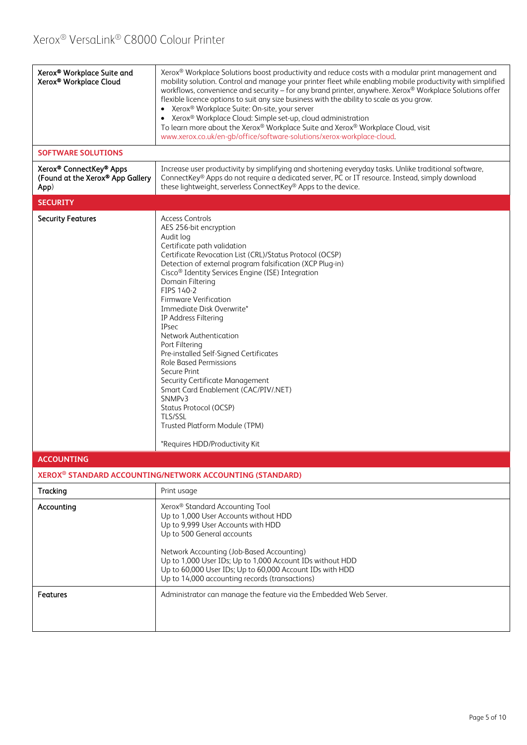| Xerox® Workplace Suite and<br>Xerox® Workplace Cloud<br><b>SOFTWARE SOLUTIONS</b> | Xerox <sup>®</sup> Workplace Solutions boost productivity and reduce costs with a modular print management and<br>mobility solution. Control and manage your printer fleet while enabling mobile productivity with simplified<br>workflows, convenience and security - for any brand printer, anywhere. Xerox® Workplace Solutions offer<br>flexible licence options to suit any size business with the ability to scale as you grow.<br>• Xerox <sup>®</sup> Workplace Suite: On-site, your server<br>Xerox <sup>®</sup> Workplace Cloud: Simple set-up, cloud administration<br>To learn more about the Xerox® Workplace Suite and Xerox® Workplace Cloud, visit<br>www.xerox.co.uk/en-gb/office/software-solutions/xerox-workplace-cloud.                                         |
|-----------------------------------------------------------------------------------|--------------------------------------------------------------------------------------------------------------------------------------------------------------------------------------------------------------------------------------------------------------------------------------------------------------------------------------------------------------------------------------------------------------------------------------------------------------------------------------------------------------------------------------------------------------------------------------------------------------------------------------------------------------------------------------------------------------------------------------------------------------------------------------|
| Xerox® ConnectKey® Apps<br>(Found at the Xerox® App Gallery<br>App)               | Increase user productivity by simplifying and shortening everyday tasks. Unlike traditional software,<br>ConnectKey® Apps do not require a dedicated server, PC or IT resource. Instead, simply download<br>these lightweight, serverless ConnectKey® Apps to the device.                                                                                                                                                                                                                                                                                                                                                                                                                                                                                                            |
| <b>SECURITY</b>                                                                   |                                                                                                                                                                                                                                                                                                                                                                                                                                                                                                                                                                                                                                                                                                                                                                                      |
| <b>Security Features</b>                                                          | <b>Access Controls</b><br>AES 256-bit encryption<br>Audit log<br>Certificate path validation<br>Certificate Revocation List (CRL)/Status Protocol (OCSP)<br>Detection of external program falsification (XCP Plug-in)<br>Cisco <sup>®</sup> Identity Services Engine (ISE) Integration<br>Domain Filtering<br>FIPS 140-2<br><b>Firmware Verification</b><br>Immediate Disk Overwrite*<br>IP Address Filtering<br><b>IPsec</b><br>Network Authentication<br>Port Filtering<br>Pre-installed Self-Signed Certificates<br><b>Role Based Permissions</b><br>Secure Print<br>Security Certificate Management<br>Smart Card Enablement (CAC/PIV/.NET)<br>SNMP <sub>v3</sub><br>Status Protocol (OCSP)<br><b>TLS/SSL</b><br>Trusted Platform Module (TPM)<br>*Requires HDD/Productivity Kit |
| <b>ACCOUNTING</b>                                                                 |                                                                                                                                                                                                                                                                                                                                                                                                                                                                                                                                                                                                                                                                                                                                                                                      |
|                                                                                   | XEROX <sup>®</sup> STANDARD ACCOUNTING/NETWORK ACCOUNTING (STANDARD)                                                                                                                                                                                                                                                                                                                                                                                                                                                                                                                                                                                                                                                                                                                 |
| Tracking                                                                          | Print usage                                                                                                                                                                                                                                                                                                                                                                                                                                                                                                                                                                                                                                                                                                                                                                          |
| Accounting                                                                        | Xerox® Standard Accounting Tool<br>Up to 1,000 User Accounts without HDD<br>Up to 9,999 User Accounts with HDD<br>Up to 500 General accounts<br>Network Accounting (Job-Based Accounting)<br>Up to 1,000 User IDs; Up to 1,000 Account IDs without HDD<br>Up to 60,000 User IDs; Up to 60,000 Account IDs with HDD<br>Up to 14,000 accounting records (transactions)                                                                                                                                                                                                                                                                                                                                                                                                                 |
| Features                                                                          | Administrator can manage the feature via the Embedded Web Server.                                                                                                                                                                                                                                                                                                                                                                                                                                                                                                                                                                                                                                                                                                                    |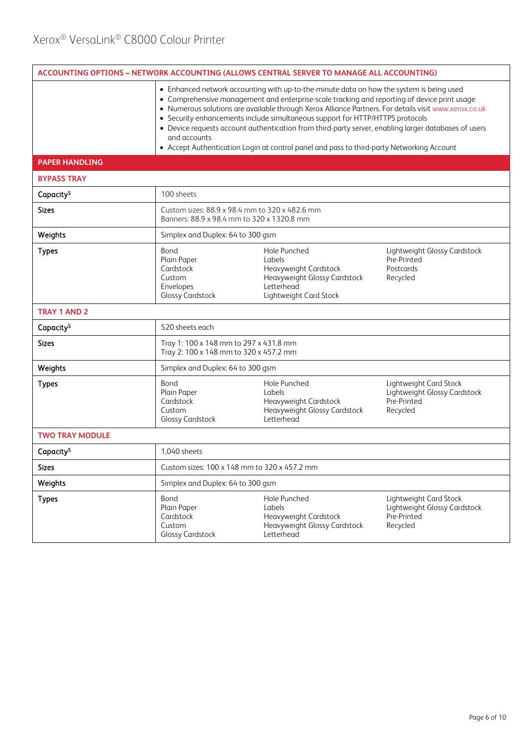| ACCOUNTING OPTIONS - NETWORK ACCOUNTING (ALLOWS CENTRAL SERVER TO MANAGE ALL ACCOUNTING) |                                                                                                                                                                                                                                                                                                                                                                                                                                                                                                                                                                                                         |                                                                                                                         |                                                                                   |  |  |
|------------------------------------------------------------------------------------------|---------------------------------------------------------------------------------------------------------------------------------------------------------------------------------------------------------------------------------------------------------------------------------------------------------------------------------------------------------------------------------------------------------------------------------------------------------------------------------------------------------------------------------------------------------------------------------------------------------|-------------------------------------------------------------------------------------------------------------------------|-----------------------------------------------------------------------------------|--|--|
|                                                                                          | • Enhanced network accounting with up-to-the-minute data on how the system is being used<br>• Comprehensive management and enterprise-scale tracking and reporting of device print usage<br>• Numerous solutions are available through Xerox Alliance Partners. For details visit www.xerox.co.uk<br>• Security enhancements include simultaneous support for HTTP/HTTPS protocols<br>• Device requests account authentication from third-party server, enabling larger databases of users<br>and accounts<br>• Accept Authentication Login at control panel and pass to third-party Networking Account |                                                                                                                         |                                                                                   |  |  |
| <b>PAPER HANDLING</b>                                                                    |                                                                                                                                                                                                                                                                                                                                                                                                                                                                                                                                                                                                         |                                                                                                                         |                                                                                   |  |  |
| <b>BYPASS TRAY</b>                                                                       |                                                                                                                                                                                                                                                                                                                                                                                                                                                                                                                                                                                                         |                                                                                                                         |                                                                                   |  |  |
| Capacity <sup>5</sup>                                                                    | 100 sheets                                                                                                                                                                                                                                                                                                                                                                                                                                                                                                                                                                                              |                                                                                                                         |                                                                                   |  |  |
| <b>Sizes</b>                                                                             | Custom sizes: 88.9 x 98.4 mm to 320 x 482.6 mm<br>Banners: 88.9 x 98.4 mm to 320 x 1320.8 mm                                                                                                                                                                                                                                                                                                                                                                                                                                                                                                            |                                                                                                                         |                                                                                   |  |  |
| Weights                                                                                  | Simplex and Duplex: 64 to 300 gsm                                                                                                                                                                                                                                                                                                                                                                                                                                                                                                                                                                       |                                                                                                                         |                                                                                   |  |  |
| <b>Types</b>                                                                             | Bond<br>Plain Paper<br>Cardstock<br>Custom<br>Envelopes<br><b>Glossy Cardstock</b>                                                                                                                                                                                                                                                                                                                                                                                                                                                                                                                      | Hole Punched<br>Labels<br>Heavyweight Cardstock<br>Heavyweight Glossy Cardstock<br>Letterhead<br>Lightweight Card Stock | Lightweight Glossy Cardstock<br>Pre-Printed<br>Postcards<br>Recycled              |  |  |
| <b>TRAY 1 AND 2</b>                                                                      |                                                                                                                                                                                                                                                                                                                                                                                                                                                                                                                                                                                                         |                                                                                                                         |                                                                                   |  |  |
| Capacity <sup>5</sup>                                                                    | 520 sheets each                                                                                                                                                                                                                                                                                                                                                                                                                                                                                                                                                                                         |                                                                                                                         |                                                                                   |  |  |
| <b>Sizes</b>                                                                             | Tray 1: 100 x 148 mm to 297 x 431.8 mm<br>Tray 2: 100 x 148 mm to 320 x 457.2 mm                                                                                                                                                                                                                                                                                                                                                                                                                                                                                                                        |                                                                                                                         |                                                                                   |  |  |
| Weights                                                                                  | Simplex and Duplex: 64 to 300 gsm                                                                                                                                                                                                                                                                                                                                                                                                                                                                                                                                                                       |                                                                                                                         |                                                                                   |  |  |
| <b>Types</b>                                                                             | Bond<br>Plain Paper<br>Cardstock<br>Custom<br><b>Glossy Cardstock</b>                                                                                                                                                                                                                                                                                                                                                                                                                                                                                                                                   | Hole Punched<br>Labels<br>Heavyweight Cardstock<br>Heavyweight Glossy Cardstock<br>Letterhead                           | Lightweight Card Stock<br>Lightweight Glossy Cardstock<br>Pre-Printed<br>Recycled |  |  |
| <b>TWO TRAY MODULE</b>                                                                   |                                                                                                                                                                                                                                                                                                                                                                                                                                                                                                                                                                                                         |                                                                                                                         |                                                                                   |  |  |
| Capacity <sup>5</sup>                                                                    | 1,040 sheets                                                                                                                                                                                                                                                                                                                                                                                                                                                                                                                                                                                            |                                                                                                                         |                                                                                   |  |  |
| <b>Sizes</b>                                                                             | Custom sizes: 100 x 148 mm to 320 x 457.2 mm                                                                                                                                                                                                                                                                                                                                                                                                                                                                                                                                                            |                                                                                                                         |                                                                                   |  |  |
| Weights                                                                                  | Simplex and Duplex: 64 to 300 gsm                                                                                                                                                                                                                                                                                                                                                                                                                                                                                                                                                                       |                                                                                                                         |                                                                                   |  |  |
| <b>Types</b>                                                                             | Bond<br>Plain Paper<br>Cardstock<br>Custom<br><b>Glossy Cardstock</b>                                                                                                                                                                                                                                                                                                                                                                                                                                                                                                                                   | Hole Punched<br>Labels<br>Heavyweight Cardstock<br>Heavyweight Glossy Cardstock<br>Letterhead                           | Lightweight Card Stock<br>Lightweight Glossy Cardstock<br>Pre-Printed<br>Recycled |  |  |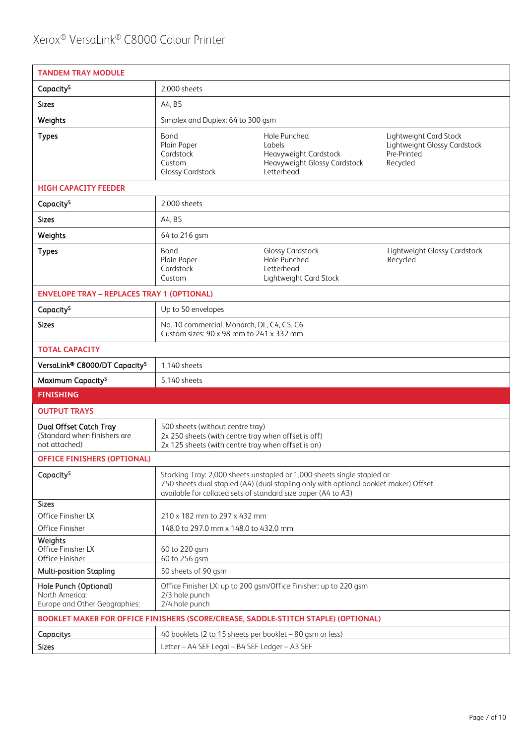| <b>TANDEM TRAY MODULE</b>                                                          |                                                                                                                                                                                                                                  |                                                                                               |                                                                                   |  |
|------------------------------------------------------------------------------------|----------------------------------------------------------------------------------------------------------------------------------------------------------------------------------------------------------------------------------|-----------------------------------------------------------------------------------------------|-----------------------------------------------------------------------------------|--|
| Capacity <sup>5</sup>                                                              | 2,000 sheets                                                                                                                                                                                                                     |                                                                                               |                                                                                   |  |
| <b>Sizes</b>                                                                       | A4, B5                                                                                                                                                                                                                           |                                                                                               |                                                                                   |  |
| Weights                                                                            | Simplex and Duplex: 64 to 300 gsm                                                                                                                                                                                                |                                                                                               |                                                                                   |  |
| <b>Types</b>                                                                       | Bond<br>Plain Paper<br>Cardstock<br>Custom<br><b>Glossy Cardstock</b>                                                                                                                                                            | Hole Punched<br>Labels<br>Heavyweight Cardstock<br>Heavyweight Glossy Cardstock<br>Letterhead | Lightweight Card Stock<br>Lightweight Glossy Cardstock<br>Pre-Printed<br>Recycled |  |
| <b>HIGH CAPACITY FEEDER</b>                                                        |                                                                                                                                                                                                                                  |                                                                                               |                                                                                   |  |
| Capacity <sup>5</sup>                                                              | 2,000 sheets                                                                                                                                                                                                                     |                                                                                               |                                                                                   |  |
| <b>Sizes</b>                                                                       | A4, B5                                                                                                                                                                                                                           |                                                                                               |                                                                                   |  |
| Weights                                                                            | 64 to 216 gsm                                                                                                                                                                                                                    |                                                                                               |                                                                                   |  |
| <b>Types</b>                                                                       | Bond<br>Plain Paper<br>Cardstock<br>Custom                                                                                                                                                                                       | <b>Glossy Cardstock</b><br>Hole Punched<br>Letterhead<br>Lightweight Card Stock               | Lightweight Glossy Cardstock<br>Recycled                                          |  |
| <b>ENVELOPE TRAY - REPLACES TRAY 1 (OPTIONAL)</b>                                  |                                                                                                                                                                                                                                  |                                                                                               |                                                                                   |  |
| Capacity <sup>5</sup>                                                              | Up to 50 envelopes                                                                                                                                                                                                               |                                                                                               |                                                                                   |  |
| <b>Sizes</b>                                                                       | No. 10 commercial, Monarch, DL, C4, C5, C6<br>Custom sizes: 90 x 98 mm to 241 x 332 mm                                                                                                                                           |                                                                                               |                                                                                   |  |
| <b>TOTAL CAPACITY</b>                                                              |                                                                                                                                                                                                                                  |                                                                                               |                                                                                   |  |
| VersaLink® C8000/DT Capacity <sup>5</sup>                                          | 1,140 sheets                                                                                                                                                                                                                     |                                                                                               |                                                                                   |  |
| Maximum Capacity <sup>5</sup>                                                      | 5,140 sheets                                                                                                                                                                                                                     |                                                                                               |                                                                                   |  |
| <b>FINISHING</b>                                                                   |                                                                                                                                                                                                                                  |                                                                                               |                                                                                   |  |
| <b>OUTPUT TRAYS</b>                                                                |                                                                                                                                                                                                                                  |                                                                                               |                                                                                   |  |
| Dual Offset Catch Tray<br>(Standard when finishers are<br>not attached)            | 500 sheets (without centre tray)<br>2x 250 sheets (with centre tray when offset is off)<br>2x 125 sheets (with centre tray when offset is on)                                                                                    |                                                                                               |                                                                                   |  |
| <b>OFFICE FINISHERS (OPTIONAL)</b>                                                 |                                                                                                                                                                                                                                  |                                                                                               |                                                                                   |  |
| Capacity <sup>5</sup>                                                              | Stacking Tray: 2,000 sheets unstapled or 1,000 sheets single stapled or<br>750 sheets dual stapled (A4) (dual stapling only with optional booklet maker) Offset<br>available for collated sets of standard size paper (A4 to A3) |                                                                                               |                                                                                   |  |
| <b>Sizes</b><br>Office Finisher LX<br>Office Finisher                              | 210 x 182 mm to 297 x 432 mm<br>148.0 to 297.0 mm x 148.0 to 432.0 mm                                                                                                                                                            |                                                                                               |                                                                                   |  |
| Weights<br>Office Finisher LX<br>Office Finisher                                   | 60 to 220 gsm<br>60 to 256 gsm                                                                                                                                                                                                   |                                                                                               |                                                                                   |  |
| <b>Multi-position Stapling</b>                                                     | 50 sheets of 90 gsm                                                                                                                                                                                                              |                                                                                               |                                                                                   |  |
| Hole Punch (Optional)<br>North America:<br>Europe and Other Geographies:           | 2/3 hole punch<br>2/4 hole punch                                                                                                                                                                                                 | Office Finisher LX: up to 200 gsm/Office Finisher: up to 220 gsm                              |                                                                                   |  |
| BOOKLET MAKER FOR OFFICE FINISHERS (SCORE/CREASE, SADDLE-STITCH STAPLE) (OPTIONAL) |                                                                                                                                                                                                                                  |                                                                                               |                                                                                   |  |
| Capacity <sub>5</sub>                                                              | 40 booklets (2 to 15 sheets per booklet - 80 gsm or less)                                                                                                                                                                        |                                                                                               |                                                                                   |  |
| <b>Sizes</b>                                                                       | Letter - A4 SEF Legal - B4 SEF Ledger - A3 SEF                                                                                                                                                                                   |                                                                                               |                                                                                   |  |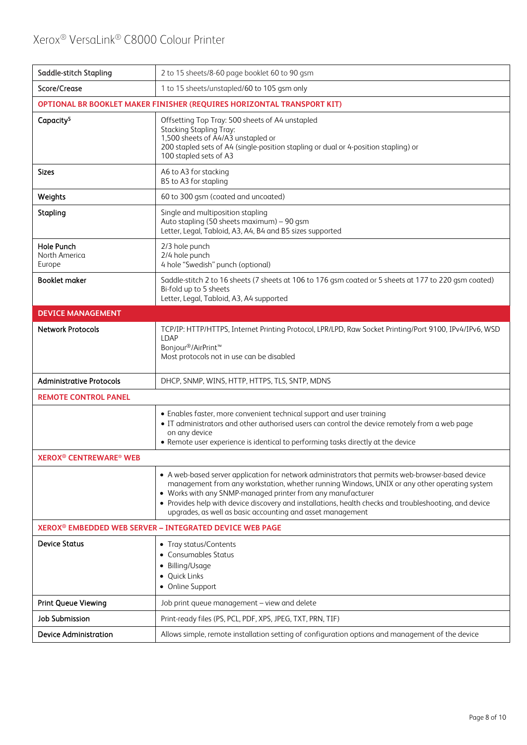| Saddle-stitch Stapling                                                 | 2 to 15 sheets/8-60 page booklet 60 to 90 gsm                                                                                                                                                                                                                                                                                                                                                                                            |  |  |
|------------------------------------------------------------------------|------------------------------------------------------------------------------------------------------------------------------------------------------------------------------------------------------------------------------------------------------------------------------------------------------------------------------------------------------------------------------------------------------------------------------------------|--|--|
| Score/Crease                                                           | 1 to 15 sheets/unstapled/60 to 105 gsm only                                                                                                                                                                                                                                                                                                                                                                                              |  |  |
| OPTIONAL BR BOOKLET MAKER FINISHER (REQUIRES HORIZONTAL TRANSPORT KIT) |                                                                                                                                                                                                                                                                                                                                                                                                                                          |  |  |
| Capacity <sup>5</sup>                                                  | Offsetting Top Tray: 500 sheets of A4 unstapled<br><b>Stacking Stapling Tray:</b><br>1,500 sheets of A4/A3 unstapled or<br>200 stapled sets of A4 (single-position stapling or dual or 4-position stapling) or<br>100 stapled sets of A3                                                                                                                                                                                                 |  |  |
| <b>Sizes</b>                                                           | A6 to A3 for stacking<br>B5 to A3 for stapling                                                                                                                                                                                                                                                                                                                                                                                           |  |  |
| Weights                                                                | 60 to 300 gsm (coated and uncoated)                                                                                                                                                                                                                                                                                                                                                                                                      |  |  |
| Stapling                                                               | Single and multiposition stapling<br>Auto stapling (50 sheets maximum) - 90 gsm<br>Letter, Legal, Tabloid, A3, A4, B4 and B5 sizes supported                                                                                                                                                                                                                                                                                             |  |  |
| <b>Hole Punch</b><br>North America<br>Europe                           | 2/3 hole punch<br>2/4 hole punch<br>4 hole "Swedish" punch (optional)                                                                                                                                                                                                                                                                                                                                                                    |  |  |
| <b>Booklet maker</b>                                                   | Saddle-stitch 2 to 16 sheets (7 sheets at 106 to 176 gsm coated or 5 sheets at 177 to 220 gsm coated)<br>Bi-fold up to 5 sheets<br>Letter, Legal, Tabloid, A3, A4 supported                                                                                                                                                                                                                                                              |  |  |
| <b>DEVICE MANAGEMENT</b>                                               |                                                                                                                                                                                                                                                                                                                                                                                                                                          |  |  |
| <b>Network Protocols</b>                                               | TCP/IP: HTTP/HTTPS, Internet Printing Protocol, LPR/LPD, Raw Socket Printing/Port 9100, IPv4/IPv6, WSD<br><b>LDAP</b><br>Bonjour <sup>®</sup> /AirPrint <sup>™</sup><br>Most protocols not in use can be disabled                                                                                                                                                                                                                        |  |  |
| <b>Administrative Protocols</b>                                        | DHCP, SNMP, WINS, HTTP, HTTPS, TLS, SNTP, MDNS                                                                                                                                                                                                                                                                                                                                                                                           |  |  |
| <b>REMOTE CONTROL PANEL</b>                                            |                                                                                                                                                                                                                                                                                                                                                                                                                                          |  |  |
|                                                                        | • Enables faster, more convenient technical support and user training<br>• IT administrators and other authorised users can control the device remotely from a web page<br>on any device<br>• Remote user experience is identical to performing tasks directly at the device                                                                                                                                                             |  |  |
| <b>XEROX<sup>®</sup> CENTREWARE<sup>®</sup> WEB</b>                    |                                                                                                                                                                                                                                                                                                                                                                                                                                          |  |  |
|                                                                        | • A web-based server application for network administrators that permits web-browser-based device<br>management from any workstation, whether running Windows, UNIX or any other operating system<br>• Works with any SNMP-managed printer from any manufacturer<br>• Provides help with device discovery and installations, health checks and troubleshooting, and device<br>upgrades, as well as basic accounting and asset management |  |  |
| XEROX <sup>®</sup> EMBEDDED WEB SERVER - INTEGRATED DEVICE WEB PAGE    |                                                                                                                                                                                                                                                                                                                                                                                                                                          |  |  |
| <b>Device Status</b>                                                   | • Tray status/Contents<br>• Consumables Status<br>• Billing/Usage<br>• Quick Links<br>• Online Support                                                                                                                                                                                                                                                                                                                                   |  |  |
| <b>Print Queue Viewing</b>                                             | Job print queue management – view and delete                                                                                                                                                                                                                                                                                                                                                                                             |  |  |
| <b>Job Submission</b>                                                  | Print-ready files (PS, PCL, PDF, XPS, JPEG, TXT, PRN, TIF)                                                                                                                                                                                                                                                                                                                                                                               |  |  |
| <b>Device Administration</b>                                           | Allows simple, remote installation setting of configuration options and management of the device                                                                                                                                                                                                                                                                                                                                         |  |  |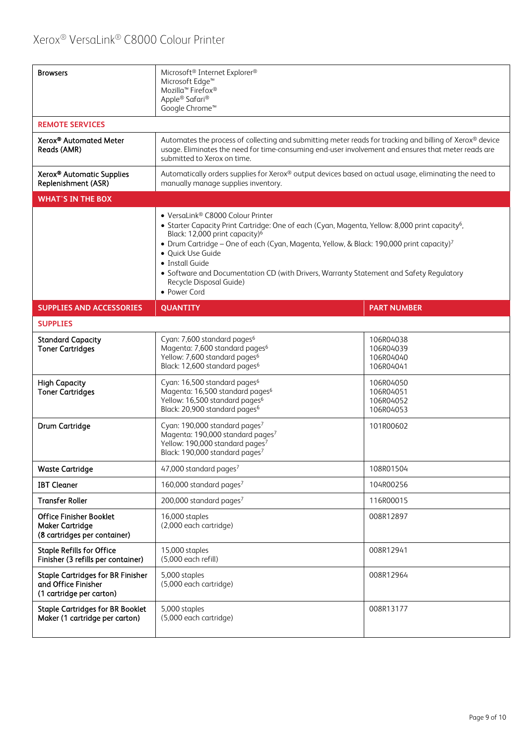| <b>Browsers</b>                                                                             | Microsoft <sup>®</sup> Internet Explorer <sup>®</sup><br>Microsoft Edge <sup>™</sup><br>Mozilla <sup>™</sup> Firefox <sup>®</sup><br>Apple® Safari®<br>Google Chrome <sup>™</sup>                                                                                                                                                                                                                                                                                                    |                                                  |  |
|---------------------------------------------------------------------------------------------|--------------------------------------------------------------------------------------------------------------------------------------------------------------------------------------------------------------------------------------------------------------------------------------------------------------------------------------------------------------------------------------------------------------------------------------------------------------------------------------|--------------------------------------------------|--|
| <b>REMOTE SERVICES</b>                                                                      |                                                                                                                                                                                                                                                                                                                                                                                                                                                                                      |                                                  |  |
| Xerox <sup>®</sup> Automated Meter<br>Reads (AMR)                                           | Automates the process of collecting and submitting meter reads for tracking and billing of Xerox® device<br>usage. Eliminates the need for time-consuming end-user involvement and ensures that meter reads are<br>submitted to Xerox on time.                                                                                                                                                                                                                                       |                                                  |  |
| Xerox <sup>®</sup> Automatic Supplies<br>Replenishment (ASR)                                | Automatically orders supplies for Xerox® output devices based on actual usage, eliminating the need to<br>manually manage supplies inventory.                                                                                                                                                                                                                                                                                                                                        |                                                  |  |
| <b>WHAT'S IN THE BOX</b>                                                                    |                                                                                                                                                                                                                                                                                                                                                                                                                                                                                      |                                                  |  |
|                                                                                             | • VersaLink® C8000 Colour Printer<br>• Starter Capacity Print Cartridge: One of each (Cyan, Magenta, Yellow: 8,000 print capacity <sup>6</sup> ,<br>Black: 12,000 print capacity) <sup>6</sup><br>• Drum Cartridge - One of each (Cyan, Magenta, Yellow, & Black: 190,000 print capacity) <sup>7</sup><br>· Quick Use Guide<br>• Install Guide<br>• Software and Documentation CD (with Drivers, Warranty Statement and Safety Regulatory<br>Recycle Disposal Guide)<br>• Power Cord |                                                  |  |
| <b>SUPPLIES AND ACCESSORIES</b>                                                             | <b>QUANTITY</b>                                                                                                                                                                                                                                                                                                                                                                                                                                                                      | <b>PART NUMBER</b>                               |  |
| <b>SUPPLIES</b>                                                                             |                                                                                                                                                                                                                                                                                                                                                                                                                                                                                      |                                                  |  |
| <b>Standard Capacity</b><br><b>Toner Cartridges</b>                                         | Cyan: 7,600 standard pages <sup>6</sup><br>Magenta: 7,600 standard pages <sup>6</sup><br>Yellow: 7,600 standard pages <sup>6</sup><br>Black: 12,600 standard pages <sup>6</sup>                                                                                                                                                                                                                                                                                                      | 106R04038<br>106R04039<br>106R04040<br>106R04041 |  |
| <b>High Capacity</b><br><b>Toner Cartridges</b>                                             | Cyan: 16,500 standard pages <sup>6</sup><br>Magenta: 16,500 standard pages <sup>6</sup><br>Yellow: 16,500 standard pages <sup>6</sup><br>Black: 20,900 standard pages <sup>6</sup>                                                                                                                                                                                                                                                                                                   | 106R04050<br>106R04051<br>106R04052<br>106R04053 |  |
| Drum Cartridge                                                                              | Cyan: 190,000 standard pages <sup>7</sup><br>Magenta: 190,000 standard pages <sup>7</sup><br>Yellow: 190,000 standard pages <sup>7</sup><br>Black: 190,000 standard pages <sup>7</sup>                                                                                                                                                                                                                                                                                               | 101R00602                                        |  |
| <b>Waste Cartridge</b>                                                                      | 47,000 standard pages <sup>7</sup>                                                                                                                                                                                                                                                                                                                                                                                                                                                   | 108R01504                                        |  |
| <b>IBT Cleaner</b>                                                                          | 160,000 standard pages <sup>7</sup>                                                                                                                                                                                                                                                                                                                                                                                                                                                  | 104R00256                                        |  |
| <b>Transfer Roller</b>                                                                      | 200,000 standard pages <sup>7</sup>                                                                                                                                                                                                                                                                                                                                                                                                                                                  | 116R00015                                        |  |
| <b>Office Finisher Booklet</b><br><b>Maker Cartridge</b><br>(8 cartridges per container)    | 16,000 staples<br>(2,000 each cartridge)                                                                                                                                                                                                                                                                                                                                                                                                                                             | 008R12897                                        |  |
| <b>Staple Refills for Office</b><br>Finisher (3 refills per container)                      | 15,000 staples<br>(5,000 each refill)                                                                                                                                                                                                                                                                                                                                                                                                                                                | 008R12941                                        |  |
| <b>Staple Cartridges for BR Finisher</b><br>and Office Finisher<br>(1 cartridge per carton) | 5,000 staples<br>(5,000 each cartridge)                                                                                                                                                                                                                                                                                                                                                                                                                                              | 008R12964                                        |  |
| <b>Staple Cartridges for BR Booklet</b><br>Maker (1 cartridge per carton)                   | 5,000 staples<br>(5,000 each cartridge)                                                                                                                                                                                                                                                                                                                                                                                                                                              | 008R13177                                        |  |